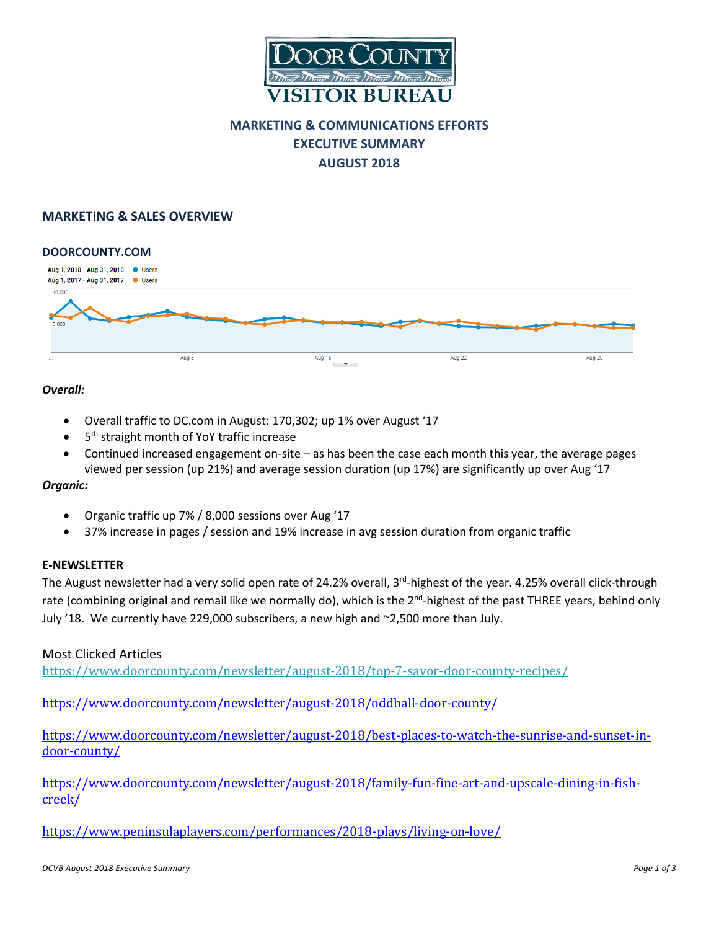

## **MARKETING & COMMUNICATIONS EFFORTS EXECUTIVE SUMMARY AUGUST 2018**

## **MARKETING & SALES OVERVIEW**



## *Overall:*

- Overall traffic to DC.com in August: 170,302; up 1% over August '17
- 5<sup>th</sup> straight month of YoY traffic increase
- Continued increased engagement on-site as has been the case each month this year, the average pages viewed per session (up 21%) and average session duration (up 17%) are significantly up over Aug '17

## *Organic:*

- Organic traffic up 7% / 8,000 sessions over Aug '17
- 37% increase in pages / session and 19% increase in avg session duration from organic traffic

## **E-NEWSLETTER**

The August newsletter had a very solid open rate of 24.2% overall,  $3^{rd}$ -highest of the year. 4.25% overall click-through rate (combining original and remail like we normally do), which is the 2<sup>nd</sup>-highest of the past THREE years, behind only July '18. We currently have 229,000 subscribers, a new high and ~2,500 more than July.

## Most Clicked Articles

<https://www.doorcounty.com/newsletter/august-2018/top-7-savor-door-county-recipes/>

<https://www.doorcounty.com/newsletter/august-2018/oddball-door-county/>

[https://www.doorcounty.com/newsletter/august-2018/best-places-to-watch-the-sunrise-and-sunset-in](https://www.doorcounty.com/newsletter/august-2018/best-places-to-watch-the-sunrise-and-sunset-in-door-county/)[door-county/](https://www.doorcounty.com/newsletter/august-2018/best-places-to-watch-the-sunrise-and-sunset-in-door-county/)

[https://www.doorcounty.com/newsletter/august-2018/family-fun-fine-art-and-upscale-dining-in-fish](https://www.doorcounty.com/newsletter/august-2018/family-fun-fine-art-and-upscale-dining-in-fish-creek/)[creek/](https://www.doorcounty.com/newsletter/august-2018/family-fun-fine-art-and-upscale-dining-in-fish-creek/)

<https://www.peninsulaplayers.com/performances/2018-plays/living-on-love/>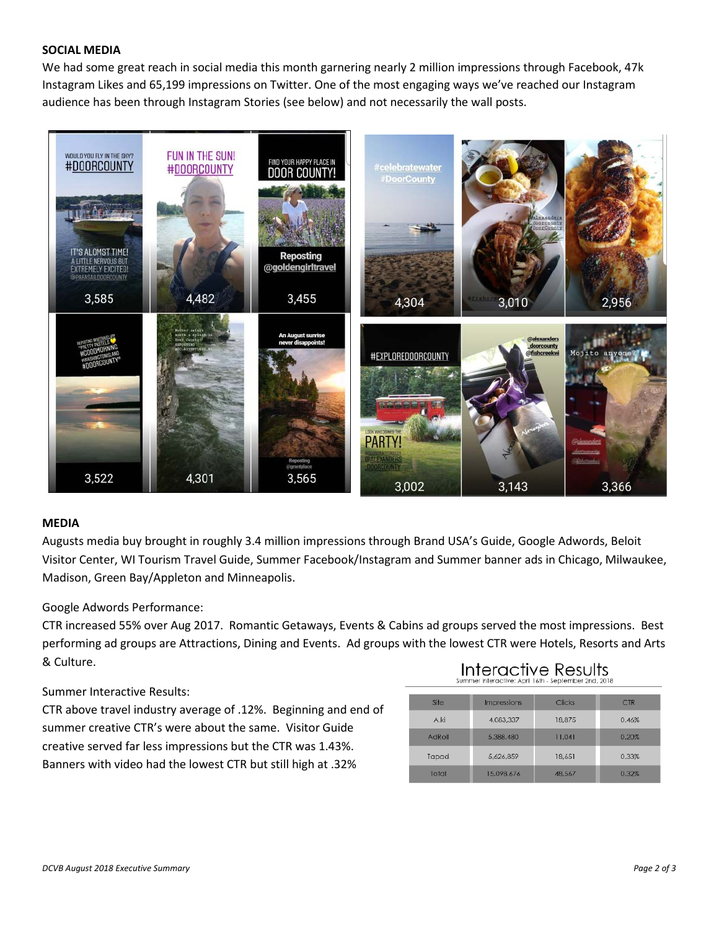## **SOCIAL MEDIA**

We had some great reach in social media this month garnering nearly 2 million impressions through Facebook, 47k Instagram Likes and 65,199 impressions on Twitter. One of the most engaging ways we've reached our Instagram audience has been through Instagram Stories (see below) and not necessarily the wall posts.



#### **MEDIA**

Augusts media buy brought in roughly 3.4 million impressions through Brand USA's Guide, Google Adwords, Beloit Visitor Center, WI Tourism Travel Guide, Summer Facebook/Instagram and Summer banner ads in Chicago, Milwaukee, Madison, Green Bay/Appleton and Minneapolis.

#### Google Adwords Performance:

CTR increased 55% over Aug 2017. Romantic Getaways, Events & Cabins ad groups served the most impressions. Best performing ad groups are Attractions, Dining and Events. Ad groups with the lowest CTR were Hotels, Resorts and Arts & Culture.

#### Summer Interactive Results:

CTR above travel industry average of .12%. Beginning and end of summer creative CTR's were about the same. Visitor Guide creative served far less impressions but the CTR was 1.43%. Banners with video had the lowest CTR but still high at .32%

# Interactive Results

| Site   | Impressions | Clicks | <b>CTR</b> |
|--------|-------------|--------|------------|
| A ki   | 4,083,337   | 18,875 | 0.46%      |
| AdRoll | 5,388,480   | 11,041 | 0.20%      |
| Tapad  | 5.626.859   | 18,651 | 0.33%      |
| Total  | 15,098,676  | 48.567 | 0.32%      |